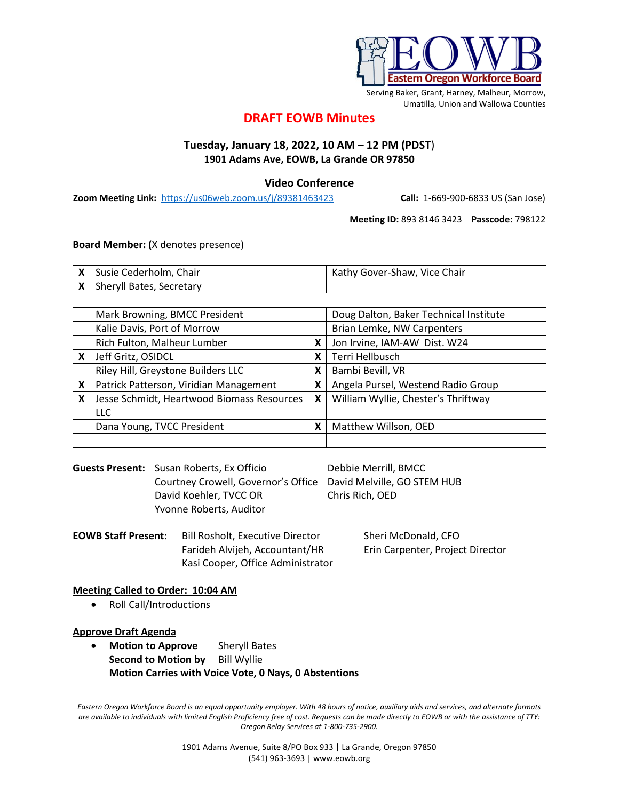

Serving Baker, Grant, Harney, Malheur, Morrow, Umatilla, Union and Wallowa Counties

# **DRAFT EOWB Minutes**

## **Tuesday, January 18, 2022, 10 AM – 12 PM (PDST**) **1901 Adams Ave, EOWB, La Grande OR 97850**

### **Video Conference**

**Zoom Meeting Link:** <https://us06web.zoom.us/j/89381463423> **Call:** 1-669-900-6833 US (San Jose)

**Meeting ID:** 893 8146 3423 **Passcode:** 798122

**Board Member: (**X denotes presence)

| X   Susie Cederholm, Chair   | Kathy Gover-Shaw, Vice Chair |
|------------------------------|------------------------------|
| X   Sheryll Bates, Secretary |                              |

|   | Mark Browning, BMCC President              |   | Doug Dalton, Baker Technical Institute |
|---|--------------------------------------------|---|----------------------------------------|
|   | Kalie Davis, Port of Morrow                |   | Brian Lemke, NW Carpenters             |
|   | Rich Fulton, Malheur Lumber                | X | Jon Irvine, IAM-AW Dist. W24           |
| X | Jeff Gritz, OSIDCL                         | X | Terri Hellbusch                        |
|   | Riley Hill, Greystone Builders LLC         | X | Bambi Bevill, VR                       |
| X | Patrick Patterson, Viridian Management     | X | Angela Pursel, Westend Radio Group     |
| X | Jesse Schmidt, Heartwood Biomass Resources | X | William Wyllie, Chester's Thriftway    |
|   | <b>LLC</b>                                 |   |                                        |
|   | Dana Young, TVCC President                 | Х | Matthew Willson, OED                   |
|   |                                            |   |                                        |

Guests Present: Susan Roberts, Ex Officio Debbie Merrill, BMCC Courtney Crowell, Governor's Office David Melville, GO STEM HUB David Koehler, TVCC OR Chris Rich, OED Yvonne Roberts, Auditor

**EOWB Staff Present:** Bill Rosholt, Executive Director Sheri McDonald, CFO Farideh Alvijeh, Accountant/HR Erin Carpenter, Project Director Kasi Cooper, Office Administrator

#### **Meeting Called to Order: 10:04 AM**

• Roll Call/Introductions

#### **Approve Draft Agenda**

• **Motion to Approve** Sheryll Bates **Second to Motion by** Bill Wyllie **Motion Carries with Voice Vote, 0 Nays, 0 Abstentions**

*Eastern Oregon Workforce Board is an equal opportunity employer. With 48 hours of notice, auxiliary aids and services, and alternate formats are available to individuals with limited English Proficiency free of cost. Requests can be made directly to EOWB or with the assistance of TTY: Oregon Relay Services at 1-800-735-2900.*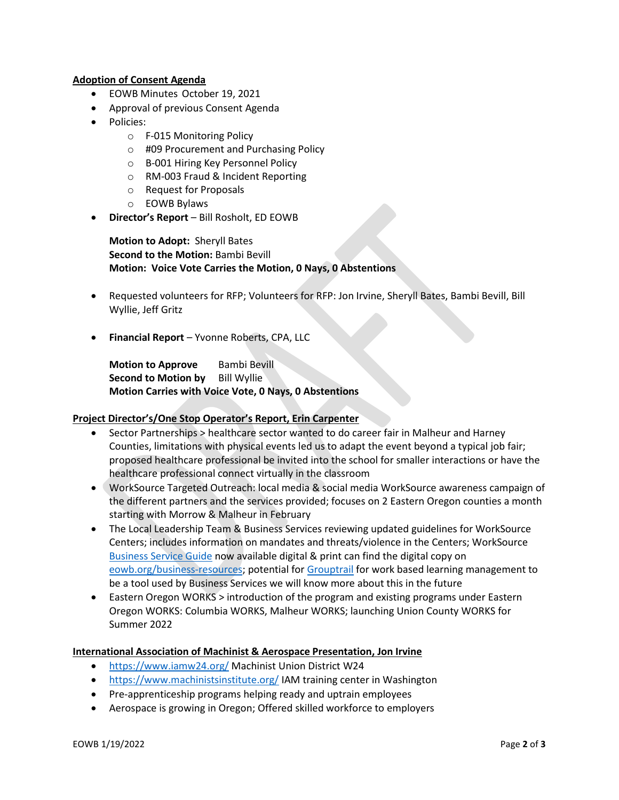### **Adoption of Consent Agenda**

- EOWB Minutes October 19, 2021
- Approval of previous Consent Agenda
- Policies:
	- o F-015 Monitoring Policy
	- o #09 Procurement and Purchasing Policy
	- o B-001 Hiring Key Personnel Policy
	- o RM-003 Fraud & Incident Reporting
	- o Request for Proposals
	- o EOWB Bylaws
- **Director's Report** Bill Rosholt, ED EOWB

**Motion to Adopt:** Sheryll Bates **Second to the Motion:** Bambi Bevill **Motion: Voice Vote Carries the Motion, 0 Nays, 0 Abstentions**

- Requested volunteers for RFP; Volunteers for RFP: Jon Irvine, Sheryll Bates, Bambi Bevill, Bill Wyllie, Jeff Gritz
- **Financial Report** Yvonne Roberts, CPA, LLC

**Motion to Approve** Bambi Bevill **Second to Motion by** Bill Wyllie **Motion Carries with Voice Vote, 0 Nays, 0 Abstentions**

#### **Project Director's/One Stop Operator's Report, Erin Carpenter**

- Sector Partnerships > healthcare sector wanted to do career fair in Malheur and Harney Counties, limitations with physical events led us to adapt the event beyond a typical job fair; proposed healthcare professional be invited into the school for smaller interactions or have the healthcare professional connect virtually in the classroom
- WorkSource Targeted Outreach: local media & social media WorkSource awareness campaign of the different partners and the services provided; focuses on 2 Eastern Oregon counties a month starting with Morrow & Malheur in February
- The Local Leadership Team & Business Services reviewing updated guidelines for WorkSource Centers; includes information on mandates and threats/violence in the Centers; WorkSource [Business Service Guide](https://eowb.org/business-resources) now available digital & print can find the digital copy on [eowb.org/business-resources;](https://eowb.org/business-resources) potential fo[r Grouptrail](https://www.grouptrail.com/) for work based learning management to be a tool used by Business Services we will know more about this in the future
- Eastern Oregon WORKS > introduction of the program and existing programs under Eastern Oregon WORKS: Columbia WORKS, Malheur WORKS; launching Union County WORKS for Summer 2022

#### **International Association of Machinist & Aerospace Presentation, Jon Irvine**

- <https://www.iamw24.org/> Machinist Union District W24
- <https://www.machinistsinstitute.org/> IAM training center in Washington
- Pre-apprenticeship programs helping ready and uptrain employees
- Aerospace is growing in Oregon; Offered skilled workforce to employers